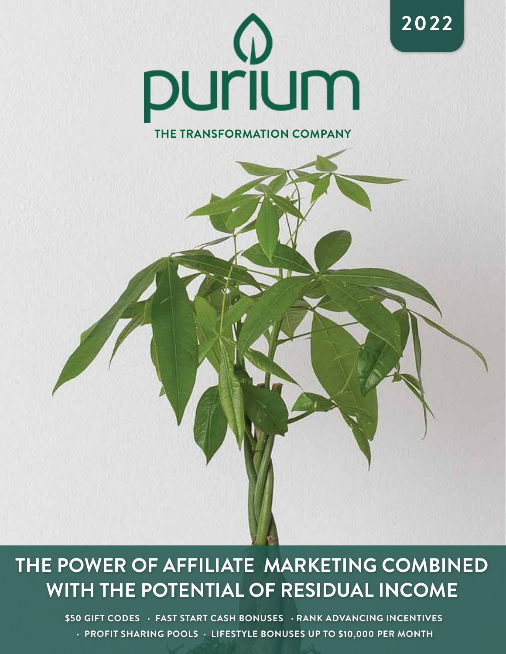

**2022**

### **THE TRANSFORMATION COMPANY**

## **THE POWER OF AFFILIATE MARKETING COMBINED WITH THE POTENTIAL OF RESIDUAL INCOME**

**\$50 GIFT CODES · FAST START CASH BONUSES · RANK ADVANCING INCENTIVES · PROFIT SHARING POOLS · LIFESTYLE BONUSES UP TO \$10,000 PER MONTH**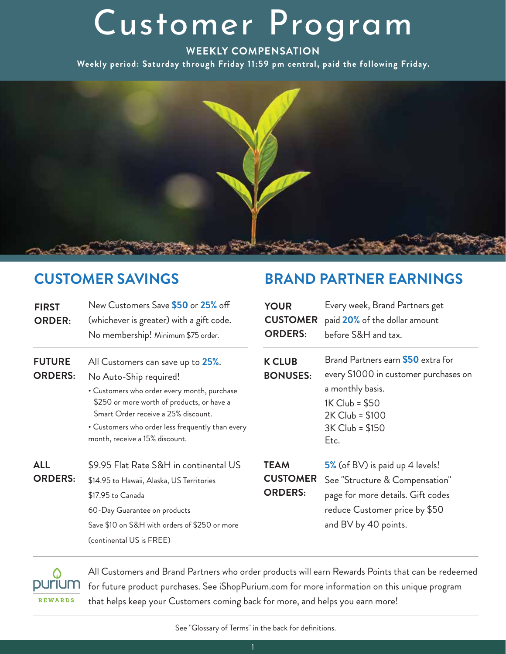## Customer Program

#### **WEEKLY COMPENSATION**

**Weekly period: Saturday through Friday 11:59 pm central, paid the following Friday.**



## **CUSTOMER SAVINGS**

| <b>FIRST</b><br><b>ORDER:</b>   | New Customers Save \$50 or 25% off<br>(whichever is greater) with a gift code.<br>No membership! Minimum \$75 order.                                                                                                                                                                  |
|---------------------------------|---------------------------------------------------------------------------------------------------------------------------------------------------------------------------------------------------------------------------------------------------------------------------------------|
| <b>FUTURE</b><br><b>ORDERS:</b> | All Customers can save up to 25%.<br>No Auto-Ship required!<br>• Customers who order every month, purchase<br>\$250 or more worth of products, or have a<br>Smart Order receive a 25% discount.<br>• Customers who order less frequently than every<br>month, receive a 15% discount. |
| ALL<br><b>ORDERS:</b>           | \$9.95 Flat Rate S&H in continental US<br>\$14.95 to Hawaii, Alaska, US Territories<br>\$17.95 to Canada<br>60-Day Guarantee on products<br>Save \$10 on S&H with orders of \$250 or more<br>(continental US is FREE)                                                                 |

### **BRAND PARTNER EARNINGS**

| <b>YOUR</b><br><b>CUSTOMER</b><br><b>ORDERS:</b> | Every week, Brand Partners get<br>paid 20% of the dollar amount<br>before S&H and tax.                                                                          |
|--------------------------------------------------|-----------------------------------------------------------------------------------------------------------------------------------------------------------------|
| <b>K CLUB</b><br><b>BONUSES:</b>                 | Brand Partners earn \$50 extra for<br>every \$1000 in customer purchases on<br>a monthly basis.<br>1K Club = \$50<br>2K Club = \$100<br>3K Club = \$150<br>Etc. |
| <b>TEAM</b><br><b>CUSTOMER</b><br><b>ORDERS:</b> | 5% (of BV) is paid up 4 levels!<br>See "Structure & Compensation"<br>page for more details. Gift codes<br>reduce Customer price by \$50                         |

reduce Customer price by \$50 and BV by 40 points.

purium **REWARDS** 

All Customers and Brand Partners who order products will earn Rewards Points that can be redeemed for future product purchases. See iShopPurium.com for more information on this unique program that helps keep your Customers coming back for more, and helps you earn more!

See "Glossary of Terms" in the back for definitions.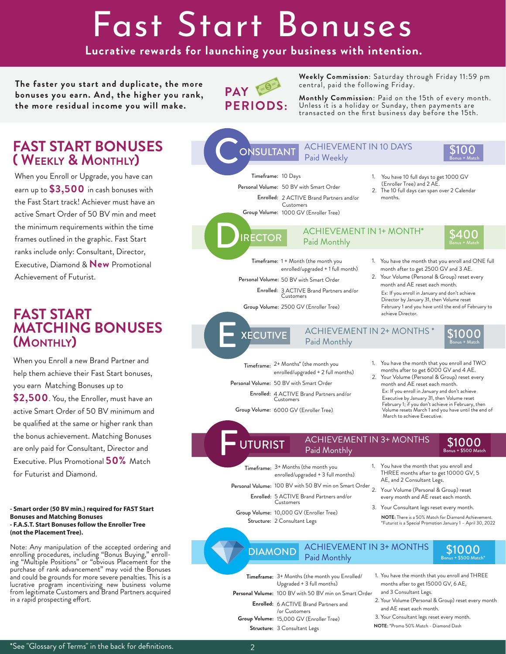# Fast Start Bonuses

**Lucrative rewards for launching your business with intention.**

**The faster you start and duplicate, the more bonuses you earn. And, the higher you rank, the more residual income you will make.** 



**Weekly Commission**: Saturday through Friday 11:59 pm central, paid the following Friday.

**Monthly Commission**: Paid on the 15th of every month. Unless it is a holiday or Sunday, then payments are transacted on the first business day before the 15th.

### **FAST START BONUSES ( WEEKLY & MONTHLY)**

When you Enroll or Upgrade, you have can earn up to **\$3,500** in cash bonuses with the Fast Start track! Achiever must have an active Smart Order of 50 BV min and meet the minimum requirements within the time frames outlined in the graphic. Fast Start ranks include only: Consultant, Director, Executive, Diamond & **New** Promotional Achievement of Futurist.

### **FAST START MATCHING BONUSES (MONTHLY)**

When you Enroll a new Brand Partner and help them achieve their Fast Start bonuses, you earn Matching Bonuses up to **\$2,500**. You, the Enroller, must have an active Smart Order of 50 BV minimum and be qualified at the same or higher rank than the bonus achievement. Matching Bonuses are only paid for Consultant, Director and Executive. Plus Promotional **50%** Match for Futurist and Diamond.

#### **- Smart order (50 BV min.) required for FAST Start Bonuses and Matching Bonuses - F.A.S.T. Start Bonuses follow the Enroller Tree (not the Placement Tree).**

Note: Any manipulation of the accepted ordering and enrolling procedures, including "Bonus Buying," enrolling "Multiple Positions" or "obvious Placement for the purchase of rank advancement" may void the Bonuses and could be grounds for more severe penalties. This is a lucrative program incentivizing new business volume from legitimate Customers and Brand Partners acquired in a rapid prospecting effort.

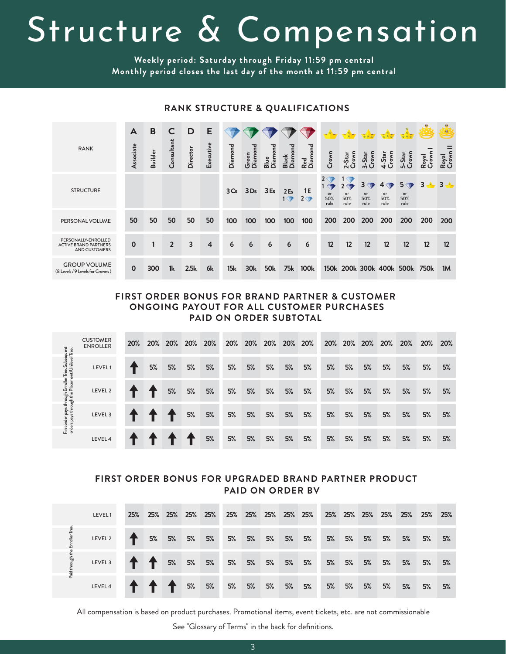# Structure & Compensation

**Weekly period: Saturday through Friday 11:59 pm central Monthly period closes the last day of the month at 11:59 pm central**

| <b>RANK</b>                                                                 | A           | B              | C              | D              | Е                       |                 | ᠊ᢦ                  |                 |                                 |                         |                   |                                          |                                          |                             |                                     |                      | ڪ              |
|-----------------------------------------------------------------------------|-------------|----------------|----------------|----------------|-------------------------|-----------------|---------------------|-----------------|---------------------------------|-------------------------|-------------------|------------------------------------------|------------------------------------------|-----------------------------|-------------------------------------|----------------------|----------------|
|                                                                             | ssociate    | <b>Builder</b> | Consultant     | Director       | Executive               | <b>Diamond</b>  | Diamon<br>reen<br>ט | Diamond<br>Blue | Diamond<br>Black                | Red<br>Diamond          | Crown             | 2-Star<br>Crown                          | Crown<br>$-5$ tar<br>$\dot{m}$           | Crown<br>4-Star             | Crown<br>$-$ Star<br>ഥ              | Royal<br>Crown       | Royal<br>Crown |
| <b>STRUCTURE</b>                                                            |             |                |                |                |                         | 3C <sub>s</sub> | 3Ds                 | 3E <sub>s</sub> | 2 <sub>Es</sub><br>$1 \sqrt{7}$ | 1E<br>$2 \triangledown$ | or<br>50%<br>rule | $1 \triangleleft 7$<br>or<br>50%<br>rule | $3 \Leftrightarrow$<br>or<br>50%<br>rule | 4<br>T<br>or<br>50%<br>rule | 5 <sub>2</sub><br>or<br>50%<br>rule | 3 <sup>1</sup><br>de | $3 - 1$        |
| PERSONAL VOLUME                                                             | 50          | 50             | 50             | 50             | 50                      | 100             | 100                 | 100             | 100                             | 100                     | 200               | 200                                      | 200                                      | 200                         | 200                                 | 200                  | 200            |
| PERSONALLY-ENROLLED<br><b>ACTIVE BRAND PARTNERS</b><br><b>AND CUSTOMERS</b> | $\Omega$    |                | $\overline{2}$ | $\overline{3}$ | $\overline{\mathbf{4}}$ | 6               | 6                   | 6               | 6                               | 6                       | 12                | 12                                       | 12                                       | 12                          | 12                                  | 12                   | 12             |
| <b>GROUP VOLUME</b><br>(8 Levels / 9 Levels for Crowns)                     | $\mathbf 0$ | 300            | 1 <sub>k</sub> | 2.5k           | 6k                      | 15k             | 30k                 | <b>50k</b>      | <b>75k</b>                      | <b>100k</b>             |                   |                                          |                                          |                             | 150k 200k 300k 400k 500k 750k       |                      | 1M             |

### **RANK STRUCTURE & QUALIFICATIONS**

#### **FIRST ORDER BONUS FOR BRAND PARTNER & CUSTOMER ONGOING PAYOUT FOR ALL CUSTOMER PURCHASES PAID ON ORDER SUBTOTAL**

|                                                                                                        | <b>CUSTOMER</b><br><b>ENROLLER</b> | 20% |    | 20% 20% | 20% | 20% | 20% | 20% | 20% | 20% | <b>20%</b> | 20% |    | 20% 20% | 20% | 20% | 20% | 20% |
|--------------------------------------------------------------------------------------------------------|------------------------------------|-----|----|---------|-----|-----|-----|-----|-----|-----|------------|-----|----|---------|-----|-----|-----|-----|
|                                                                                                        | LEVEL1                             |     | 5% | 5%      | 5%  | 5%  | 5%  | 5%  | 5%  | 5%  | 5%         | 5%  | 5% | 5%      | 5%  | 5%  | 5%  | 5%  |
|                                                                                                        | LEVEL 2                            |     |    | 5%      | 5%  | 5%  | 5%  | 5%  | 5%  | 5%  | 5%         | 5%  | 5% | 5%      | 5%  | 5%  | 5%  | 5%  |
| First order pays through Enroller Tree. Subsequent<br>orders pays through the Placement/Unilevel Tree. | LEVEL <sub>3</sub>                 |     |    |         | 5%  | 5%  | 5%  | 5%  | 5%  | 5%  | 5%         | 5%  | 5% | 5%      | 5%  | 5%  | 5%  | 5%  |
|                                                                                                        | LEVEL 4                            |     |    |         |     | 5%  | 5%  | 5%  | 5%  | 5%  | 5%         | 5%  | 5% | 5%      | 5%  | 5%  | 5%  | 5%  |

### **FIRST ORDER BONUS FOR UPGRADED BRAND PARTNER PRODUCT PAID ON ORDER BV**

| LEVEL1  |  |  |  |  |  |  |  |  |    |
|---------|--|--|--|--|--|--|--|--|----|
| LEVEL 2 |  |  |  |  |  |  |  |  | 5% |
| LEVEL 3 |  |  |  |  |  |  |  |  | 5% |
| LEVEL 4 |  |  |  |  |  |  |  |  | 5% |

All compensation is based on product purchases. Promotional items, event tickets, etc. are not commissionable See "Glossary of Terms" in the back for definitions.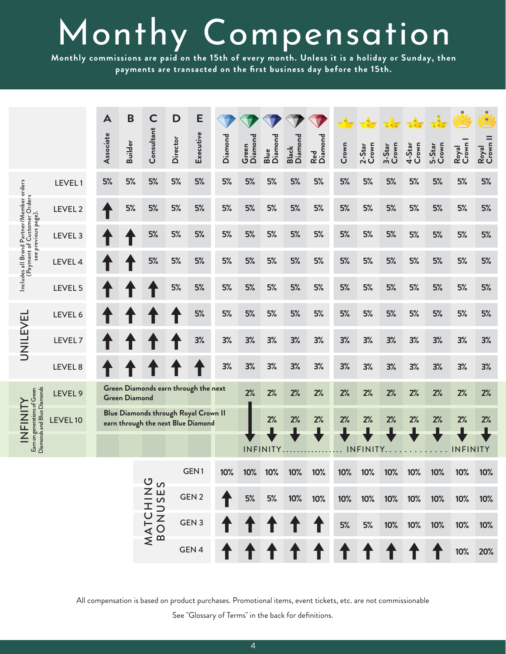# Monthy Compensation

**Monthly commissions are paid on the 15th of every month. Unless it is a holiday or Sunday, then payments are transacted on the first business day before the 15th.**

|                                                                                |                    | A         | B                    | $\mathsf{C}$               | D                | E                                                                                 |         |                  |                 |                  |                |       |                 |                 |                                              |                 |                 | $\theta_{\rm B}$  |
|--------------------------------------------------------------------------------|--------------------|-----------|----------------------|----------------------------|------------------|-----------------------------------------------------------------------------------|---------|------------------|-----------------|------------------|----------------|-------|-----------------|-----------------|----------------------------------------------|-----------------|-----------------|-------------------|
|                                                                                |                    | Associate | <b>Builder</b>       | Consultant                 | Director         | Executive                                                                         | Diamond | Diamond<br>Green | Blue<br>Diamond | Black<br>Diamond | Red<br>Diamond | Crown | 2-Star<br>Crown | 3-Star<br>Crown | 4-Star<br>Crown                              | 5-Star<br>Crown | Royal<br>Crown  | Royal<br>Crown II |
|                                                                                | LEVEL1             | 5%        | 5%                   | 5%                         | 5%               | 5%                                                                                | 5%      | 5%               | 5%              | 5%               | 5%             | 5%    | 5%              | 5%              | 5%                                           | 5%              | 5%              | 5%                |
|                                                                                | LEVEL 2            |           | 5%                   | 5%                         | 5%               | 5%                                                                                | 5%      | 5%               | 5%              | 5%               | 5%             | 5%    | 5%              | 5%              | 5%                                           | 5%              | 5%              | 5%                |
| previous page).                                                                | LEVEL <sub>3</sub> |           |                      | 5%                         | 5%               | 5%                                                                                | 5%      | 5%               | 5%              | 5%               | 5%             | 5%    | 5%              | 5%              | 5%                                           | 5%              | 5%              | 5%                |
| Includes all Brand Partner/Member orders<br>(Payment of Customer Orders<br>see | LEVEL 4            |           |                      | 5%                         | 5%               | 5%                                                                                | 5%      | 5%               | 5%              | 5%               | 5%             | 5%    | 5%              | 5%              | 5%                                           | 5%              | 5%              | 5%                |
|                                                                                | LEVEL 5            |           |                      |                            | 5%               | 5%                                                                                | 5%      | 5%               | 5%              | 5%               | 5%             | 5%    | 5%              | 5%              | 5%                                           | 5%              | 5%              | 5%                |
|                                                                                | LEVEL 6            |           |                      |                            |                  | 5%                                                                                | 5%      | 5%               | 5%              | 5%               | 5%             | 5%    | 5%              | 5%              | 5%                                           | 5%              | 5%              | 5%                |
| UNILEVEL                                                                       | LEVEL <sub>7</sub> |           |                      |                            |                  | 3%                                                                                | 3%      | 3%               | 3%              | 3%               | 3%             | 3%    | 3%              | 3%              | 3%                                           | 3%              | 3%              | 3%                |
|                                                                                | LEVEL 8            |           |                      |                            |                  |                                                                                   | 3%      | 3%               | 3%              | 3%               | 3%             | 3%    | 3%              | 3%              | 3%                                           | 3%              | 3%              | 3%                |
|                                                                                | LEVEL 9            |           | <b>Green Diamond</b> |                            |                  | Green Diamonds earn through the next                                              |         | 2%               | 2%              | 2%               | 2%             | 2%    | 2%              | 2%              | 2%                                           | 2%              | 2%              | 2%                |
| Earn on generations of Green<br>Diamonds and Blue Diamonds<br><b>ALIZILZI</b>  | LEVEL 10           |           |                      |                            |                  | <b>Blue Diamonds through Royal Crown II</b><br>earn through the next Blue Diamond |         |                  | 2%              | 2%               | 2%             | 2%    | 2%              | 2%              | 2%                                           | 2%              | 2%              | 2%                |
|                                                                                |                    |           |                      |                            |                  |                                                                                   |         |                  | INFINITY.       |                  |                |       | INFINITY.       | $\bullet$       | $\ddot{\phantom{0}}$<br>$\ddot{\phantom{a}}$ |                 | <b>INFINITY</b> |                   |
|                                                                                |                    |           |                      |                            |                  | GEN <sub>1</sub>                                                                  | 10%     | 10%              | 10%             | 10%              | 10%            | 10%   | 10%             | 10%             | 10%                                          | 10%             | 10%             | 10%               |
|                                                                                |                    |           |                      |                            | GEN <sub>2</sub> |                                                                                   | $5%$    | 5%               | 10%             | 10%              | 10%            | 10%   | 10%             | 10%             | 10%                                          | 10%             | 10%             |                   |
|                                                                                |                    |           |                      | <b>MATCHING</b><br>BONUSES |                  | GEN <sub>3</sub>                                                                  |         |                  |                 |                  |                | 5%    | 5%              | 10%             | 10%                                          | 10%             | 10%             | 10%               |
|                                                                                |                    |           |                      |                            |                  | GEN 4                                                                             |         |                  |                 |                  |                |       |                 |                 |                                              |                 | 10%             | 20%               |

All compensation is based on product purchases. Promotional items, event tickets, etc. are not commissionable

See "Glossary of Terms" in the back for definitions.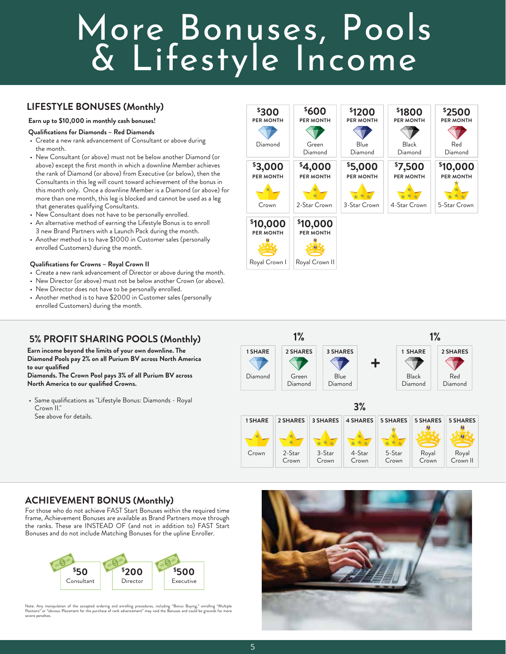## More Bonuses, Pools & Lifestyle Income

### **LIFESTYLE BONUSES (Monthly)**

#### **Earn up to \$10,000 in monthly cash bonuses!**

**Qualifications for Diamonds – Red Diamonds**

- Create a new rank advancement of Consultant or above during the month.
- New Consultant (or above) must not be below another Diamond (or above) except the first month in which a downline Member achieves the rank of Diamond (or above) from Executive (or below), then the Consultants in this leg will count toward achievement of the bonus in this month only. Once a downline Member is a Diamond (or above) for more than one month, this leg is blocked and cannot be used as a leg that generates qualifying Consultants.
- New Consultant does not have to be personally enrolled.
- An alternative method of earning the Lifestyle Bonus is to enroll 3 new Brand Partners with a Launch Pack during the month.
- Another method is to have \$1000 in Customer sales (personally enrolled Customers) during the month.

#### **Qualifications for Crowns – Royal Crown II**

- Create a new rank advancement of Director or above during the month.
- New Director (or above) must not be below another Crown (or above).
- New Director does not have to be personally enrolled.
- Another method is to have \$2000 in Customer sales (personally enrolled Customers) during the month.

### **5% PROFIT SHARING POOLS (Monthly)**

**Earn income beyond the limits of your own downline. The Diamond Pools pay 2% on all Purium BV across North America to our qualified** 

**Diamonds. The Crown Pool pays 3% of all Purium BV across North America to our qualified Crowns.**

• Same qualifications as "Lifestyle Bonus: Diamonds - Royal Crown<sup>'</sup>II." See above for details.





### **ACHIEVEMENT BONUS (Monthly)**

For those who do not achieve FAST Start Bonuses within the required time frame, Achievement Bonuses are available as Brand Partners move through the ranks. These are INSTEAD OF (and not in addition to) FAST Start Bonuses and do not include Matching Bonuses for the upline Enroller.



Note: Any manipulation of the accepted ordering and enrolling procedures, including "Bonus Buying," enrolling "Multiple<br>Positions" or "obvious Placement for the purchase of rank advancement" may void the Bonuses and could severe penalties.

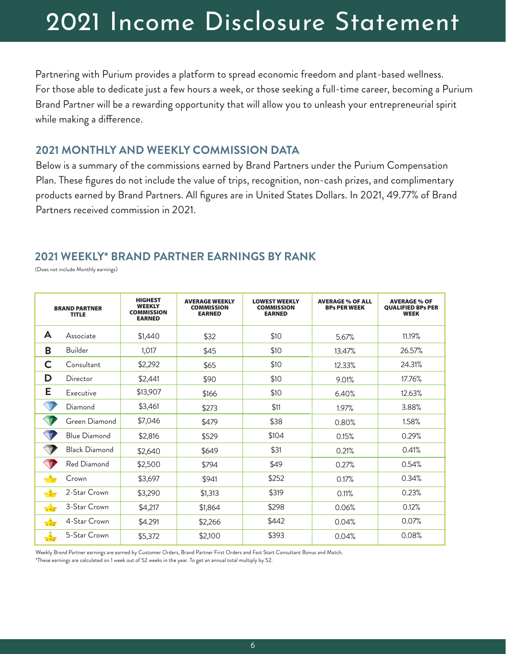## 2021 Income Disclosure Statement

Partnering with Purium provides a platform to spread economic freedom and plant-based wellness. For those able to dedicate just a few hours a week, or those seeking a full-time career, becoming a Purium Brand Partner will be a rewarding opportunity that will allow you to unleash your entrepreneurial spirit while making a difference.

### **2021 MONTHLY AND WEEKLY COMMISSION DATA**

Below is a summary of the commissions earned by Brand Partners under the Purium Compensation Plan. These figures do not include the value of trips, recognition, non-cash prizes, and complimentary products earned by Brand Partners. All figures are in United States Dollars. In 2021, 49.77% of Brand Partners received commission in 2021.

### **2021 WEEKLY\* BRAND PARTNER EARNINGS BY RANK**

(Does not include Monthly earnings)

| <b>BRAND PARTNER</b><br><b>TITLE</b>            |                      | <b>HIGHEST</b><br><b>WEEKLY</b><br><b>COMMISSION</b><br><b>EARNED</b> | <b>AVERAGE WEEKLY</b><br><b>COMMISSION</b><br><b>EARNED</b> | <b>LOWEST WEEKLY</b><br><b>COMMISSION</b><br><b>EARNED</b> | <b>AVERAGE % OF ALL</b><br><b>BPs PER WEEK</b> | <b>AVERAGE % OF</b><br><b>QUALIFIED BPs PER</b><br><b>WEEK</b> |
|-------------------------------------------------|----------------------|-----------------------------------------------------------------------|-------------------------------------------------------------|------------------------------------------------------------|------------------------------------------------|----------------------------------------------------------------|
| A                                               | Associate            | \$1,440                                                               | \$32                                                        | \$10                                                       | 5.67%                                          | 11.19%                                                         |
| B                                               | <b>Builder</b>       | 1,017                                                                 | \$45                                                        | \$10                                                       | 13.47%                                         | 26.57%                                                         |
| C                                               | Consultant           | \$2,292                                                               | \$65                                                        | \$10                                                       | 12.33%                                         | 24.31%                                                         |
| D                                               | Director             | \$2,441                                                               | \$90                                                        | \$10                                                       | 9.01%                                          | 17.76%                                                         |
| Е                                               | Executive            | \$13,907                                                              | \$166                                                       | \$10                                                       | 6.40%                                          | 12.63%                                                         |
|                                                 | Diamond              | \$3,461                                                               | \$273                                                       | \$11                                                       | 1.97%                                          | 3.88%                                                          |
| $\bigtriangledown$                              | Green Diamond        | \$7,046                                                               | \$479                                                       | \$38                                                       | 0.80%                                          | 1.58%                                                          |
| T                                               | <b>Blue Diamond</b>  | \$2,816                                                               | \$529                                                       | \$104                                                      | 0.15%                                          | 0.29%                                                          |
| $\bigtriangledown$                              | <b>Black Diamond</b> | \$2,640                                                               | \$649                                                       | \$31                                                       | 0.21%                                          | 0.41%                                                          |
|                                                 | Red Diamond          | \$2,500                                                               | \$794                                                       | \$49                                                       | 0.27%                                          | 0.54%                                                          |
|                                                 | Crown                | \$3,697                                                               | \$941                                                       | \$252                                                      | 0.17%                                          | 0.34%                                                          |
| $-\frac{1}{2}$ -                                | 2-Star Crown         | \$3,290                                                               | \$1,313                                                     | \$319                                                      | 0.11%                                          | 0.23%                                                          |
| $\overline{\mathbf{X}}$ $\overline{\mathbf{X}}$ | 3-Star Crown         | \$4,217                                                               | \$1,864                                                     | \$298                                                      | 0.06%                                          | 0.12%                                                          |
| $x * x$                                         | 4-Star Crown         | \$4.291                                                               | \$2,266                                                     | \$442                                                      | 0.04%                                          | 0.07%                                                          |
| $\sqrt{\frac{4}{x}}$                            | 5-Star Crown         | \$5,372                                                               | \$2,100                                                     | \$393                                                      | 0.04%                                          | 0.08%                                                          |

Weekly Brand Partner earnings are earned by Customer Orders, Brand Partner First Orders and Fast Start Consultant Bonus and Match.

\*These earnings are calculated on 1 week out of 52 weeks in the year. To get an annual total multiply by 52.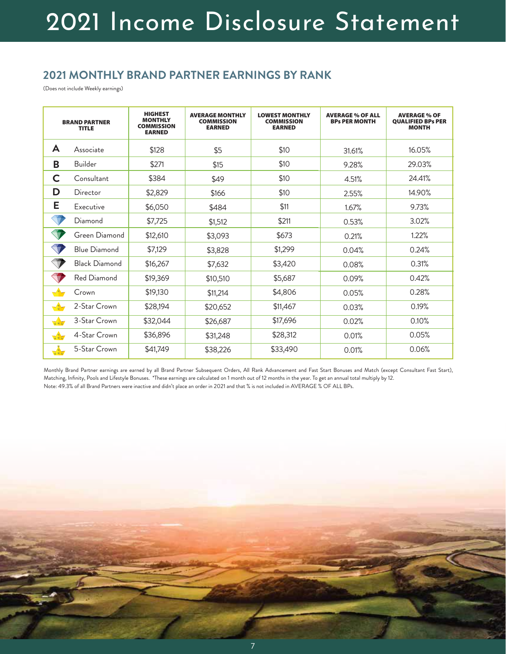### **2021 MONTHLY BRAND PARTNER EARNINGS BY RANK**

(Does not include Weekly earnings)

| <b>BRAND PARTNER</b><br><b>TITLE</b> |                      | <b>HIGHEST</b><br><b>MONTHLY</b><br><b>COMMISSION</b><br><b>EARNED</b> | <b>AVERAGE MONTHLY</b><br><b>COMMISSION</b><br><b>EARNED</b> | <b>LOWEST MONTHLY</b><br><b>COMMISSION</b><br><b>EARNED</b> | <b>AVERAGE % OF ALL</b><br><b>BPs PER MONTH</b> | <b>AVERAGE % OF</b><br><b>QUALIFIED BPs PER</b><br><b>MONTH</b> |
|--------------------------------------|----------------------|------------------------------------------------------------------------|--------------------------------------------------------------|-------------------------------------------------------------|-------------------------------------------------|-----------------------------------------------------------------|
| A                                    | Associate            | \$128                                                                  | \$5                                                          | \$10                                                        | 31.61%                                          | 16.05%                                                          |
| B                                    | Builder              | \$271                                                                  | \$15                                                         | \$10                                                        | 9.28%                                           | 29.03%                                                          |
| C                                    | Consultant           | \$384                                                                  | \$49                                                         | \$10                                                        | 4.51%                                           | 24.41%                                                          |
| D                                    | Director             | \$2,829                                                                | \$166                                                        | \$10                                                        | 2.55%                                           | 14.90%                                                          |
| Е                                    | Executive            | \$6,050                                                                | \$484                                                        | \$11                                                        | 1.67%                                           | 9.73%                                                           |
|                                      | Diamond              | \$7,725                                                                | \$1,512                                                      | \$211                                                       | 0.53%                                           | 3.02%                                                           |
| Ŵ                                    | Green Diamond        | \$12,610                                                               | \$3,093                                                      | \$673                                                       | 0.21%                                           | 1.22%                                                           |
| V                                    | <b>Blue Diamond</b>  | \$7,129                                                                | \$3,828                                                      | \$1,299                                                     | 0.04%                                           | 0.24%                                                           |
| $\blacksquare$                       | <b>Black Diamond</b> | \$16,267                                                               | \$7,632                                                      | \$3,420                                                     | 0.08%                                           | 0.31%                                                           |
| $\bigtriangledown$                   | Red Diamond          | \$19,369                                                               | \$10,510                                                     | \$5,687                                                     | 0.09%                                           | 0.42%                                                           |
|                                      | Crown                | \$19,130                                                               | \$11,214                                                     | \$4,806                                                     | 0.05%                                           | 0.28%                                                           |
| $-\frac{4}{3}$                       | 2-Star Crown         | \$28,194                                                               | \$20,652                                                     | \$11,467                                                    | 0.03%                                           | 0.19%                                                           |
| $x * x$                              | 3-Star Crown         | \$32,044                                                               | \$26,687                                                     | \$17,696                                                    | 0.02%                                           | 0.10%                                                           |
| $x * x$                              | 4-Star Crown         | \$36,896                                                               | \$31,248                                                     | \$28,312                                                    | 0.01%                                           | 0.05%                                                           |
| $\frac{k}{k}$                        | 5-Star Crown         | \$41,749                                                               | \$38,226                                                     | \$33,490                                                    | 0.01%                                           | 0.06%                                                           |

Monthly Brand Partner earnings are earned by all Brand Partner Subsequent Orders, All Rank Advancement and Fast Start Bonuses and Match (except Consultant Fast Start), Matching, Infinity, Pools and Lifestyle Bonuses. \*These earnings are calculated on 1 month out of 12 months in the year. To get an annual total multiply by 12. Note: 49.3% of all Brand Partners were inactive and didn't place an order in 2021 and that % is not included in AVERAGE % OF ALL BPs.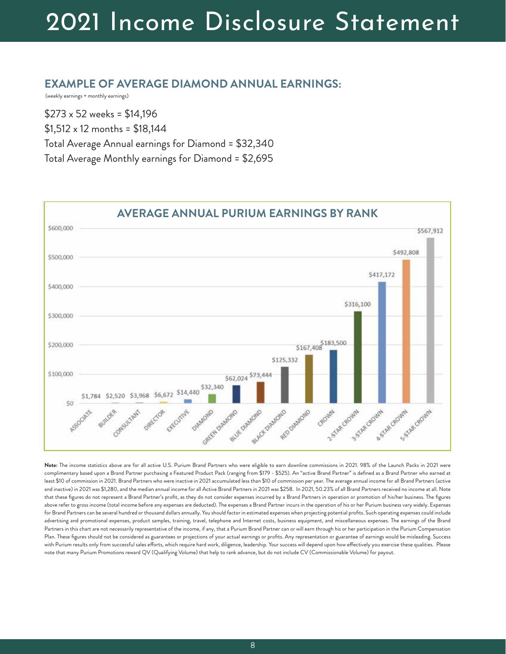## 2021 Income Disclosure Statement

### **EXAMPLE OF AVERAGE DIAMOND ANNUAL EARNINGS:**

(weekly earnings + monthly earnings)

\$273 x 52 weeks = \$14,196 \$1,512 x 12 months = \$18,144 Total Average Annual earnings for Diamond = \$32,340 Total Average Monthly earnings for Diamond = \$2,695



**Note:** The income statistics above are for all active U.S. Purium Brand Partners who were eligible to earn downline commissions in 2021. 98% of the Launch Packs in 2021 were complimentary based upon a Brand Partner purchasing a Featured Product Pack (ranging from \$179 - \$525). An "active Brand Partner" is defined as a Brand Partner who earned at least \$10 of commission in 2021. Brand Partners who were inactive in 2021 accumulated less than \$10 of commission per year. The average annual income for all Brand Partners (active and inactive) in 2021 was \$1,280, and the median annual income for all Active Brand Partners in 2021 was \$258. In 2021, 50.23% of all Brand Partners received no income at all. Note that these figures do not represent a Brand Partner's profit, as they do not consider expenses incurred by a Brand Partners in operation or promotion of his/her business. The figures above refer to gross income (total income before any expenses are deducted). The expenses a Brand Partner incurs in the operation of his or her Purium business vary widely. Expenses for Brand Partners can be several hundred or thousand dollars annually. You should factor in estimated expenses when projecting potential profits. Such operating expenses could include advertising and promotional expenses, product samples, training, travel, telephone and Internet costs, business equipment, and miscellaneous expenses. The earnings of the Brand Partners in this chart are not necessarily representative of the income, if any, that a Purium Brand Partner can or will earn through his or her participation in the Purium Compensation Plan. These figures should not be considered as guarantees or projections of your actual earnings or profits. Any representation or guarantee of earnings would be misleading. Success with Purium results only from successful sales efforts, which require hard work, diligence, leadership. Your success will depend upon how effectively you exercise these qualities. Please note that many Purium Promotions reward QV (Qualifying Volume) that help to rank advance, but do not include CV (Commissionable Volume) for payout.